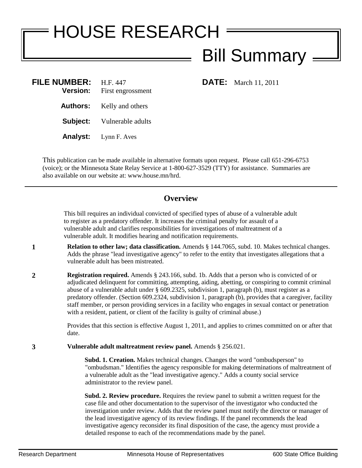## HOUSE RESEARCH Bill Summary

| <b>FILE NUMBER:</b><br><b>Version:</b> | H.F. 447<br>First engrossment |
|----------------------------------------|-------------------------------|
| Authors:                               | Kelly and others              |
| Subject:                               | Vulnerable adults             |
| Analyst:                               | Lynn F. Aves                  |

**FILE:** March 11, 2011

This publication can be made available in alternative formats upon request. Please call 651-296-6753 (voice); or the Minnesota State Relay Service at 1-800-627-3529 (TTY) for assistance. Summaries are also available on our website at: www.house.mn/hrd.

## **Overview**

This bill requires an individual convicted of specified types of abuse of a vulnerable adult to register as a predatory offender. It increases the criminal penalty for assault of a vulnerable adult and clarifies responsibilities for investigations of maltreatment of a vulnerable adult. It modifies hearing and notification requirements.

- **1 Relation to other law; data classification.** Amends § 144.7065, subd. 10. Makes technical changes. Adds the phrase "lead investigative agency" to refer to the entity that investigates allegations that a vulnerable adult has been mistreated.
- **2 Registration required.** Amends § 243.166, subd. 1b. Adds that a person who is convicted of or adjudicated delinquent for committing, attempting, aiding, abetting, or conspiring to commit criminal abuse of a vulnerable adult under § 609.2325, subdivision 1, paragraph (b), must register as a predatory offender. (Section 609.2324, subdivision 1, paragraph (b), provides that a caregiver, facility staff member, or person providing services in a facility who engages in sexual contact or penetration with a resident, patient, or client of the facility is guilty of criminal abuse.)

Provides that this section is effective August 1, 2011, and applies to crimes committed on or after that date.

**3 Vulnerable adult maltreatment review panel.** Amends § 256.021.

**Subd. 1. Creation.** Makes technical changes. Changes the word "ombudsperson" to "ombudsman." Identifies the agency responsible for making determinations of maltreatment of a vulnerable adult as the "lead investigative agency." Adds a county social service administrator to the review panel.

**Subd. 2. Review procedure.** Requires the review panel to submit a written request for the case file and other documentation to the supervisor of the investigator who conducted the investigation under review. Adds that the review panel must notify the director or manager of the lead investigative agency of its review findings. If the panel recommends the lead investigative agency reconsider its final disposition of the case, the agency must provide a detailed response to each of the recommendations made by the panel.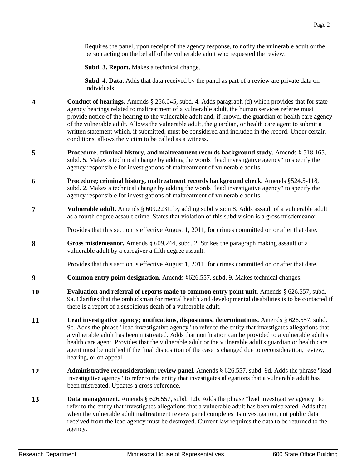Requires the panel, upon receipt of the agency response, to notify the vulnerable adult or the person acting on the behalf of the vulnerable adult who requested the review.

**Subd. 3. Report.** Makes a technical change.

**Subd. 4. Data.** Adds that data received by the panel as part of a review are private data on individuals.

- **4 Conduct of hearings.** Amends § 256.045, subd. 4. Adds paragraph (d) which provides that for state agency hearings related to maltreatment of a vulnerable adult, the human services referee must provide notice of the hearing to the vulnerable adult and, if known, the guardian or health care agency of the vulnerable adult. Allows the vulnerable adult, the guardian, or health care agent to submit a written statement which, if submitted, must be considered and included in the record. Under certain conditions, allows the victim to be called as a witness.
- **5 Procedure, criminal history, and maltreatment records background study.** Amends § 518.165, subd. 5. Makes a technical change by adding the words "lead investigative agency" to specify the agency responsible for investigations of maltreatment of vulnerable adults.
- **6 Procedure; criminal history, maltreatment records background check.** Amends §524.5-118, subd. 2. Makes a technical change by adding the words "lead investigative agency" to specify the agency responsible for investigations of maltreatment of vulnerable adults.
- **7 Vulnerable adult.** Amends § 609.2231, by adding subdivision 8. Adds assault of a vulnerable adult as a fourth degree assault crime. States that violation of this subdivision is a gross misdemeanor.

Provides that this section is effective August 1, 2011, for crimes committed on or after that date.

**8 Gross misdemeanor.** Amends § 609.244, subd. 2. Strikes the paragraph making assault of a vulnerable adult by a caregiver a fifth degree assault.

Provides that this section is effective August 1, 2011, for crimes committed on or after that date.

- **9 Common entry point designation.** Amends §626.557, subd. 9. Makes technical changes.
- **10 Evaluation and referral of reports made to common entry point unit.** Amends § 626.557, subd. 9a. Clarifies that the ombudsman for mental health and developmental disabilities is to be contacted if there is a report of a suspicious death of a vulnerable adult.
- **11 Lead investigative agency; notifications, dispositions, determinations.** Amends § 626.557, subd. 9c. Adds the phrase "lead investigative agency" to refer to the entity that investigates allegations that a vulnerable adult has been mistreated. Adds that notification can be provided to a vulnerable adult's health care agent. Provides that the vulnerable adult or the vulnerable adult's guardian or health care agent must be notified if the final disposition of the case is changed due to reconsideration, review, hearing, or on appeal.
- **12 Administrative reconsideration; review panel.** Amends § 626.557, subd. 9d. Adds the phrase "lead investigative agency" to refer to the entity that investigates allegations that a vulnerable adult has been mistreated. Updates a cross-reference.
- **13 Data management.** Amends § 626.557, subd. 12b. Adds the phrase "lead investigative agency" to refer to the entity that investigates allegations that a vulnerable adult has been mistreated. Adds that when the vulnerable adult maltreatment review panel completes its investigation, not public data received from the lead agency must be destroyed. Current law requires the data to be returned to the agency.